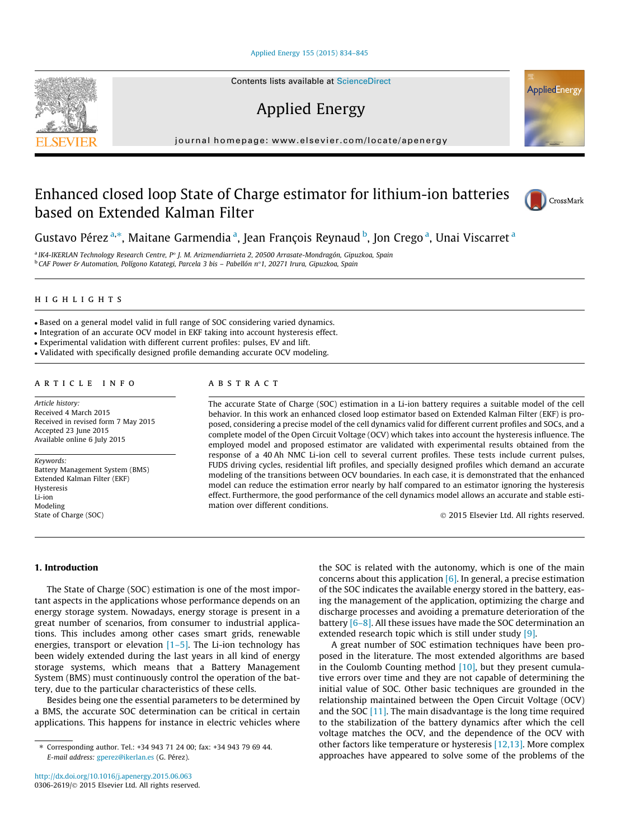#### [Applied Energy 155 \(2015\) 834–845](http://dx.doi.org/10.1016/j.apenergy.2015.06.063)

Contents lists available at [ScienceDirect](http://www.sciencedirect.com/science/journal/03062619)

## Applied Energy

journal homepage: [www.elsevier.com/locate/apenergy](http://www.elsevier.com/locate/apenergy)

### Enhanced closed loop State of Charge estimator for lithium-ion batteries based on Extended Kalman Filter



a IK4-IKERLAN Technology Research Centre, P° J. M. Arizmendiarrieta 2, 20500 Arrasate-Mondragón, Gipuzkoa, Spain  $^{\rm b}$  CAF Power & Automation, Polígono Katategi, Parcela 3 bis – Pabellón n°1, 20271 Irura, Gipuzkoa, Spain

#### highlights

- Based on a general model valid in full range of SOC considering varied dynamics.

- Integration of an accurate OCV model in EKF taking into account hysteresis effect.

- Experimental validation with different current profiles: pulses, EV and lift.

- Validated with specifically designed profile demanding accurate OCV modeling.

#### article info

Article history: Received 4 March 2015 Received in revised form 7 May 2015 Accepted 23 June 2015 Available online 6 July 2015

Keywords: Battery Management System (BMS) Extended Kalman Filter (EKF) Hysteresis Li-ion Modeling State of Charge (SOC)

#### abstract

The accurate State of Charge (SOC) estimation in a Li-ion battery requires a suitable model of the cell behavior. In this work an enhanced closed loop estimator based on Extended Kalman Filter (EKF) is proposed, considering a precise model of the cell dynamics valid for different current profiles and SOCs, and a complete model of the Open Circuit Voltage (OCV) which takes into account the hysteresis influence. The employed model and proposed estimator are validated with experimental results obtained from the response of a 40 Ah NMC Li-ion cell to several current profiles. These tests include current pulses, FUDS driving cycles, residential lift profiles, and specially designed profiles which demand an accurate modeling of the transitions between OCV boundaries. In each case, it is demonstrated that the enhanced model can reduce the estimation error nearly by half compared to an estimator ignoring the hysteresis effect. Furthermore, the good performance of the cell dynamics model allows an accurate and stable estimation over different conditions.

2015 Elsevier Ltd. All rights reserved.

1. Introduction

The State of Charge (SOC) estimation is one of the most important aspects in the applications whose performance depends on an energy storage system. Nowadays, energy storage is present in a great number of scenarios, from consumer to industrial applications. This includes among other cases smart grids, renewable energies, transport or elevation  $[1–5]$ . The Li-ion technology has been widely extended during the last years in all kind of energy storage systems, which means that a Battery Management System (BMS) must continuously control the operation of the battery, due to the particular characteristics of these cells.

Besides being one the essential parameters to be determined by a BMS, the accurate SOC determination can be critical in certain applications. This happens for instance in electric vehicles where

the SOC is related with the autonomy, which is one of the main concerns about this application  $[6]$ . In general, a precise estimation of the SOC indicates the available energy stored in the battery, easing the management of the application, optimizing the charge and discharge processes and avoiding a premature deterioration of the battery [\[6–8\]](#page--1-0). All these issues have made the SOC determination an extended research topic which is still under study [\[9\]](#page--1-0).

A great number of SOC estimation techniques have been proposed in the literature. The most extended algorithms are based in the Coulomb Counting method  $[10]$ , but they present cumulative errors over time and they are not capable of determining the initial value of SOC. Other basic techniques are grounded in the relationship maintained between the Open Circuit Voltage (OCV) and the SOC  $[11]$ . The main disadvantage is the long time required to the stabilization of the battery dynamics after which the cell voltage matches the OCV, and the dependence of the OCV with other factors like temperature or hysteresis [\[12,13\]](#page--1-0). More complex approaches have appeared to solve some of the problems of the







<sup>⇑</sup> Corresponding author. Tel.: +34 943 71 24 00; fax: +34 943 79 69 44. E-mail address: [gperez@ikerlan.es](mailto:gperez@ikerlan.es) (G. Pérez).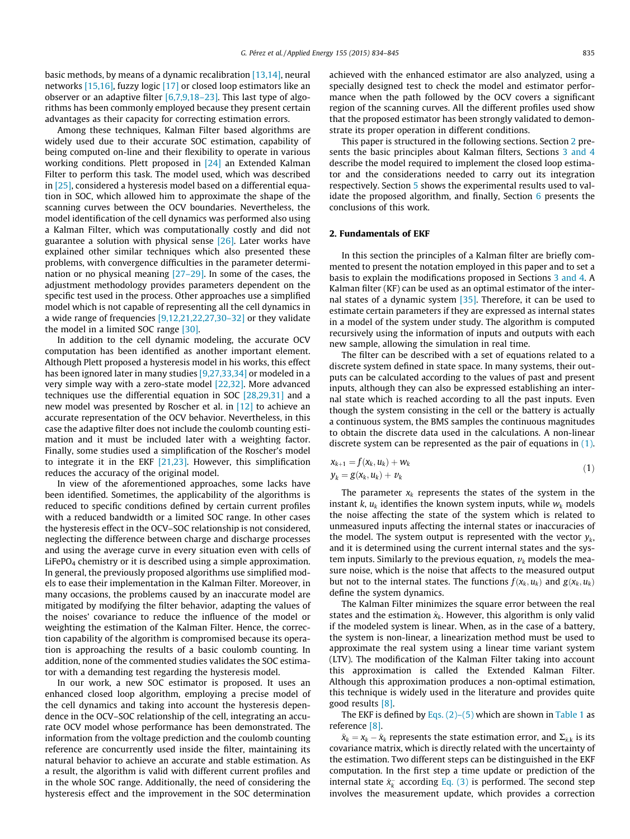basic methods, by means of a dynamic recalibration [\[13,14\],](#page--1-0) neural networks [\[15,16\],](#page--1-0) fuzzy logic [\[17\]](#page--1-0) or closed loop estimators like an observer or an adaptive filter [\[6,7,9,18–23\].](#page--1-0) This last type of algorithms has been commonly employed because they present certain advantages as their capacity for correcting estimation errors.

Among these techniques, Kalman Filter based algorithms are widely used due to their accurate SOC estimation, capability of being computed on-line and their flexibility to operate in various working conditions. Plett proposed in [\[24\]](#page--1-0) an Extended Kalman Filter to perform this task. The model used, which was described in [\[25\]](#page--1-0), considered a hysteresis model based on a differential equation in SOC, which allowed him to approximate the shape of the scanning curves between the OCV boundaries. Nevertheless, the model identification of the cell dynamics was performed also using a Kalman Filter, which was computationally costly and did not guarantee a solution with physical sense [\[26\]](#page--1-0). Later works have explained other similar techniques which also presented these problems, with convergence difficulties in the parameter determination or no physical meaning [\[27–29\].](#page--1-0) In some of the cases, the adjustment methodology provides parameters dependent on the specific test used in the process. Other approaches use a simplified model which is not capable of representing all the cell dynamics in a wide range of frequencies [\[9,12,21,22,27,30–32\]](#page--1-0) or they validate the model in a limited SOC range [\[30\].](#page--1-0)

In addition to the cell dynamic modeling, the accurate OCV computation has been identified as another important element. Although Plett proposed a hysteresis model in his works, this effect has been ignored later in many studies [\[9,27,33,34\]](#page--1-0) or modeled in a very simple way with a zero-state model [\[22,32\]](#page--1-0). More advanced techniques use the differential equation in SOC [\[28,29,31\]](#page--1-0) and a new model was presented by Roscher et al. in [\[12\]](#page--1-0) to achieve an accurate representation of the OCV behavior. Nevertheless, in this case the adaptive filter does not include the coulomb counting estimation and it must be included later with a weighting factor. Finally, some studies used a simplification of the Roscher's model to integrate it in the EKF [\[21,23\].](#page--1-0) However, this simplification reduces the accuracy of the original model.

In view of the aforementioned approaches, some lacks have been identified. Sometimes, the applicability of the algorithms is reduced to specific conditions defined by certain current profiles with a reduced bandwidth or a limited SOC range. In other cases the hysteresis effect in the OCV–SOC relationship is not considered, neglecting the difference between charge and discharge processes and using the average curve in every situation even with cells of  $LiFePO<sub>4</sub>$  chemistry or it is described using a simple approximation. In general, the previously proposed algorithms use simplified models to ease their implementation in the Kalman Filter. Moreover, in many occasions, the problems caused by an inaccurate model are mitigated by modifying the filter behavior, adapting the values of the noises' covariance to reduce the influence of the model or weighting the estimation of the Kalman Filter. Hence, the correction capability of the algorithm is compromised because its operation is approaching the results of a basic coulomb counting. In addition, none of the commented studies validates the SOC estimator with a demanding test regarding the hysteresis model.

In our work, a new SOC estimator is proposed. It uses an enhanced closed loop algorithm, employing a precise model of the cell dynamics and taking into account the hysteresis dependence in the OCV–SOC relationship of the cell, integrating an accurate OCV model whose performance has been demonstrated. The information from the voltage prediction and the coulomb counting reference are concurrently used inside the filter, maintaining its natural behavior to achieve an accurate and stable estimation. As a result, the algorithm is valid with different current profiles and in the whole SOC range. Additionally, the need of considering the hysteresis effect and the improvement in the SOC determination achieved with the enhanced estimator are also analyzed, using a specially designed test to check the model and estimator performance when the path followed by the OCV covers a significant region of the scanning curves. All the different profiles used show that the proposed estimator has been strongly validated to demonstrate its proper operation in different conditions.

This paper is structured in the following sections. Section 2 presents the basic principles about Kalman filters, Sections [3 and 4](#page--1-0) describe the model required to implement the closed loop estimator and the considerations needed to carry out its integration respectively. Section [5](#page--1-0) shows the experimental results used to validate the proposed algorithm, and finally, Section [6](#page--1-0) presents the conclusions of this work.

#### 2. Fundamentals of EKF

In this section the principles of a Kalman filter are briefly commented to present the notation employed in this paper and to set a basis to explain the modifications proposed in Sections [3 and 4.](#page--1-0) A Kalman filter (KF) can be used as an optimal estimator of the internal states of a dynamic system [\[35\]](#page--1-0). Therefore, it can be used to estimate certain parameters if they are expressed as internal states in a model of the system under study. The algorithm is computed recursively using the information of inputs and outputs with each new sample, allowing the simulation in real time.

The filter can be described with a set of equations related to a discrete system defined in state space. In many systems, their outputs can be calculated according to the values of past and present inputs, although they can also be expressed establishing an internal state which is reached according to all the past inputs. Even though the system consisting in the cell or the battery is actually a continuous system, the BMS samples the continuous magnitudes to obtain the discrete data used in the calculations. A non-linear discrete system can be represented as the pair of equations in (1).

$$
\begin{aligned} \mathbf{x}_{k+1} &= f(\mathbf{x}_k, u_k) + \mathbf{w}_k \\ \mathbf{y}_k &= \mathbf{g}(\mathbf{x}_k, u_k) + \mathbf{v}_k \end{aligned} \tag{1}
$$

The parameter  $x_k$  represents the states of the system in the instant k,  $u_k$  identifies the known system inputs, while  $w_k$  models the noise affecting the state of the system which is related to unmeasured inputs affecting the internal states or inaccuracies of the model. The system output is represented with the vector  $y_k$ , and it is determined using the current internal states and the system inputs. Similarly to the previous equation,  $v_k$  models the measure noise, which is the noise that affects to the measured output but not to the internal states. The functions  $f(x_k, u_k)$  and  $g(x_k, u_k)$ define the system dynamics.

The Kalman Filter minimizes the square error between the real states and the estimation  $\hat{x}_k$ . However, this algorithm is only valid if the modeled system is linear. When, as in the case of a battery, the system is non-linear, a linearization method must be used to approximate the real system using a linear time variant system (LTV). The modification of the Kalman Filter taking into account this approximation is called the Extended Kalman Filter. Although this approximation produces a non-optimal estimation, this technique is widely used in the literature and provides quite good results [\[8\]](#page--1-0).

The EKF is defined by Eqs.  $(2)-(5)$  which are shown in [Table 1](#page--1-0) as reference [\[8\]](#page--1-0).

 $\tilde{x}_k = x_k - \hat{x}_k$  represents the state estimation error, and  $\Sigma_{\tilde{x},k}$  is its covariance matrix, which is directly related with the uncertainty of the estimation. Two different steps can be distinguished in the EKF computation. In the first step a time update or prediction of the internal state  $\hat{x}_{k}^{-}$  according [Eq. \(3\)](#page--1-0) is performed. The second step involves the measurement update, which provides a correction